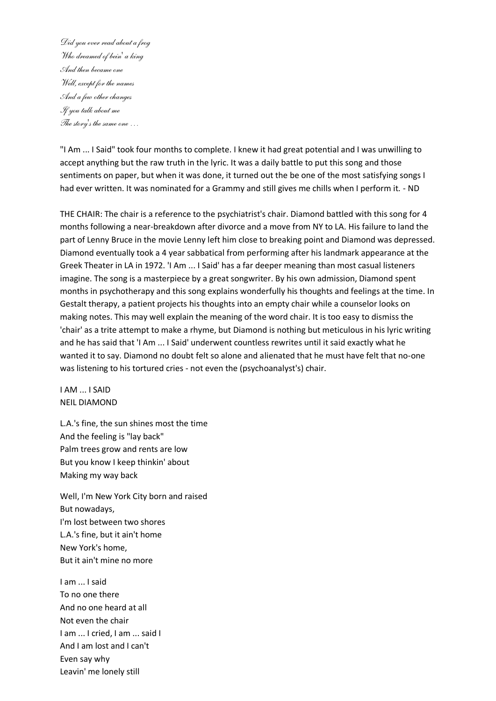*Did you ever read about a frog Who dreamed of bein' a king And then became one Well, except for the names And a few other changes If you talk about me The story's the same one …*

"I Am ... I Said" took four months to complete. I knew it had great potential and I was unwilling to accept anything but the raw truth in the lyric. It was a daily battle to put this song and those sentiments on paper, but when it was done, it turned out the be one of the most satisfying songs I had ever written. It was nominated for a Grammy and still gives me chills when I perform it. - ND

THE CHAIR: The chair is a reference to the psychiatrist's chair. Diamond battled with this song for 4 months following a near-breakdown after divorce and a move from NY to LA. His failure to land the part of Lenny Bruce in the movie Lenny left him close to breaking point and Diamond was depressed. Diamond eventually took a 4 year sabbatical from performing after his landmark appearance at the Greek Theater in LA in 1972. 'I Am ... I Said' has a far deeper meaning than most casual listeners imagine. The song is a masterpiece by a great songwriter. By his own admission, Diamond spent months in psychotherapy and this song explains wonderfully his thoughts and feelings at the time. In Gestalt therapy, a patient projects his thoughts into an empty chair while a counselor looks on making notes. This may well explain the meaning of the word chair. It is too easy to dismiss the 'chair' as a trite attempt to make a rhyme, but Diamond is nothing but meticulous in his lyric writing and he has said that 'I Am ... I Said' underwent countless rewrites until it said exactly what he wanted it to say. Diamond no doubt felt so alone and alienated that he must have felt that no-one was listening to his tortured cries - not even the (psychoanalyst's) chair.

I AM ... I SAID NEIL DIAMOND

L.A.'s fine, the sun shines most the time And the feeling is "lay back" Palm trees grow and rents are low But you know I keep thinkin' about Making my way back

Well, I'm New York City born and raised But nowadays, I'm lost between two shores L.A.'s fine, but it ain't home New York's home, But it ain't mine no more

I am ... I said To no one there And no one heard at all Not even the chair I am ... I cried, I am ... said I And I am lost and I can't Even say why Leavin' me lonely still